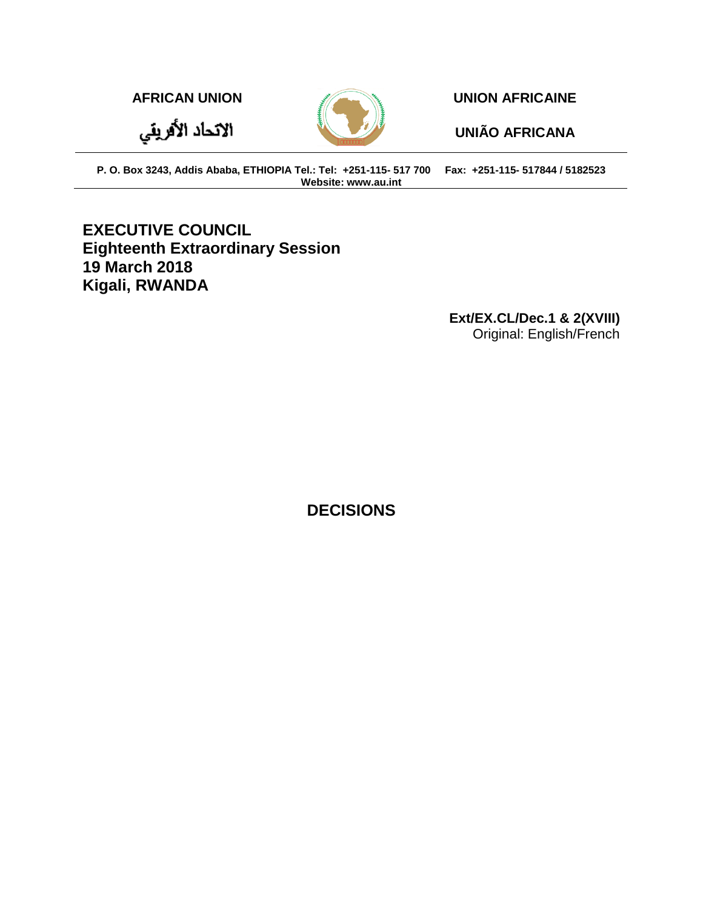الاتحاد الأفريقي



**AFRICAN UNION UNION AFRICAINE**

**UNIÃO AFRICANA**

**P. O. Box 3243, Addis Ababa, ETHIOPIA Tel.: Tel: +251-115- 517 700 Fax: +251-115- 517844 / 5182523 Website: www.au.int**

# **EXECUTIVE COUNCIL Eighteenth Extraordinary Session 19 March 2018 Kigali, RWANDA**

**Ext/EX.CL/Dec.1 & 2(XVIII)** Original: English/French

**DECISIONS**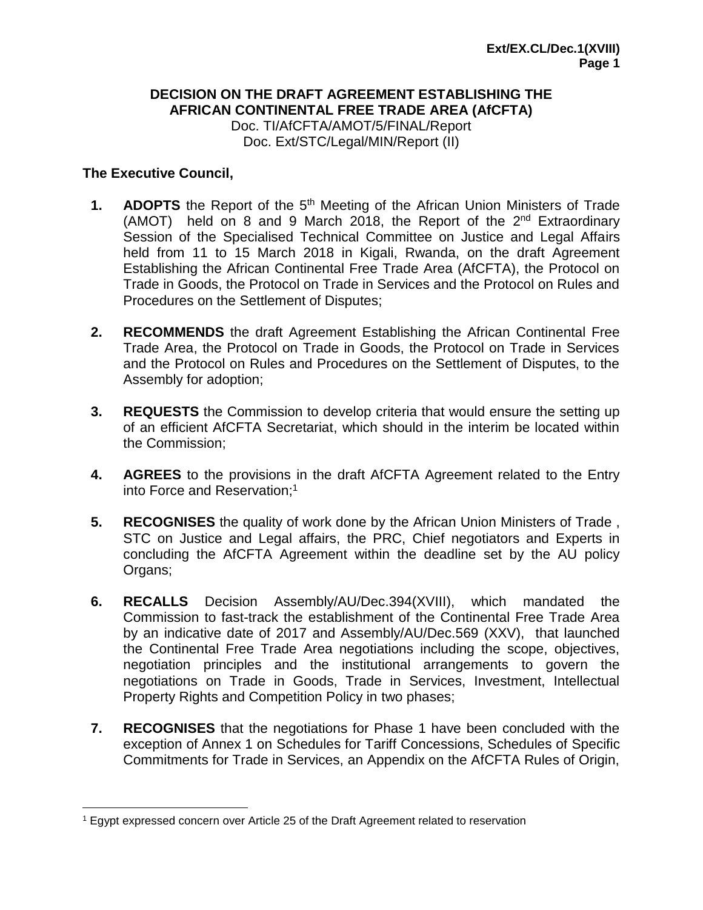## **DECISION ON THE DRAFT AGREEMENT ESTABLISHING THE AFRICAN CONTINENTAL FREE TRADE AREA (AfCFTA)** Doc. TI/AfCFTA/AMOT/5/FINAL/Report

Doc. Ext/STC/Legal/MIN/Report (II)

## **The Executive Council,**

 $\overline{a}$ 

- **1. ADOPTS** the Report of the 5<sup>th</sup> Meeting of the African Union Ministers of Trade (AMOT) held on 8 and 9 March 2018, the Report of the  $2^{nd}$  Extraordinary Session of the Specialised Technical Committee on Justice and Legal Affairs held from 11 to 15 March 2018 in Kigali, Rwanda, on the draft Agreement Establishing the African Continental Free Trade Area (AfCFTA), the Protocol on Trade in Goods, the Protocol on Trade in Services and the Protocol on Rules and Procedures on the Settlement of Disputes;
- **2. RECOMMENDS** the draft Agreement Establishing the African Continental Free Trade Area, the Protocol on Trade in Goods, the Protocol on Trade in Services and the Protocol on Rules and Procedures on the Settlement of Disputes, to the Assembly for adoption;
- **3. REQUESTS** the Commission to develop criteria that would ensure the setting up of an efficient AfCFTA Secretariat, which should in the interim be located within the Commission;
- **4. AGREES** to the provisions in the draft AfCFTA Agreement related to the Entry into Force and Reservation; 1
- **5. RECOGNISES** the quality of work done by the African Union Ministers of Trade , STC on Justice and Legal affairs, the PRC, Chief negotiators and Experts in concluding the AfCFTA Agreement within the deadline set by the AU policy Organs;
- **6. RECALLS** Decision Assembly/AU/Dec.394(XVIII), which mandated the Commission to fast-track the establishment of the Continental Free Trade Area by an indicative date of 2017 and Assembly/AU/Dec.569 (XXV), that launched the Continental Free Trade Area negotiations including the scope, objectives, negotiation principles and the institutional arrangements to govern the negotiations on Trade in Goods, Trade in Services, Investment, Intellectual Property Rights and Competition Policy in two phases;
- **7. RECOGNISES** that the negotiations for Phase 1 have been concluded with the exception of Annex 1 on Schedules for Tariff Concessions, Schedules of Specific Commitments for Trade in Services, an Appendix on the AfCFTA Rules of Origin,

<sup>1</sup> Egypt expressed concern over Article 25 of the Draft Agreement related to reservation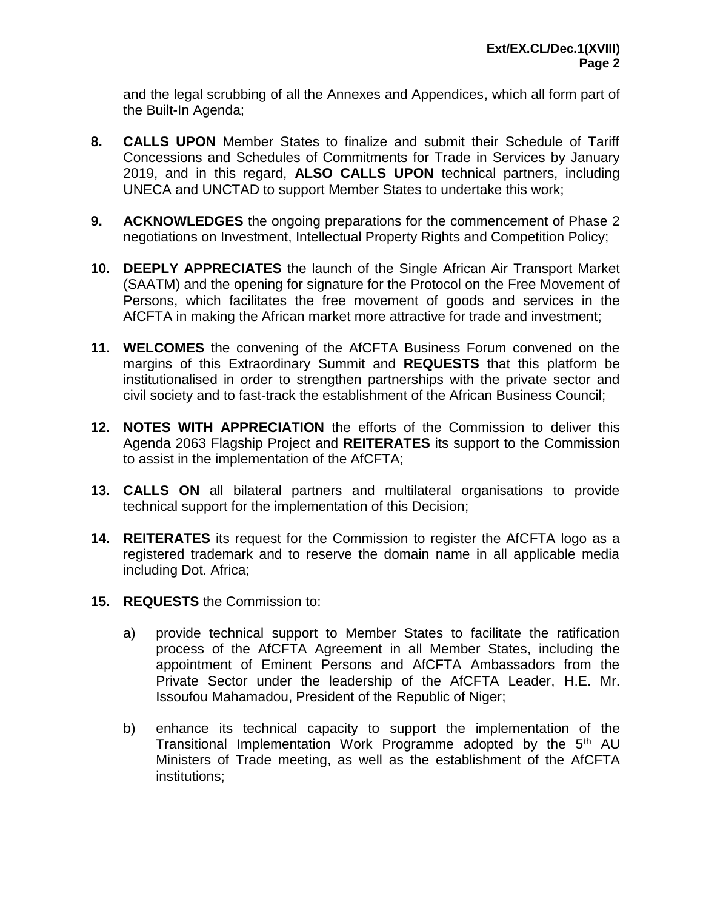and the legal scrubbing of all the Annexes and Appendices, which all form part of the Built-In Agenda;

- **8. CALLS UPON** Member States to finalize and submit their Schedule of Tariff Concessions and Schedules of Commitments for Trade in Services by January 2019, and in this regard, **ALSO CALLS UPON** technical partners, including UNECA and UNCTAD to support Member States to undertake this work;
- **9. ACKNOWLEDGES** the ongoing preparations for the commencement of Phase 2 negotiations on Investment, Intellectual Property Rights and Competition Policy;
- **10. DEEPLY APPRECIATES** the launch of the Single African Air Transport Market (SAATM) and the opening for signature for the Protocol on the Free Movement of Persons, which facilitates the free movement of goods and services in the AfCFTA in making the African market more attractive for trade and investment;
- **11. WELCOMES** the convening of the AfCFTA Business Forum convened on the margins of this Extraordinary Summit and **REQUESTS** that this platform be institutionalised in order to strengthen partnerships with the private sector and civil society and to fast-track the establishment of the African Business Council;
- **12. NOTES WITH APPRECIATION** the efforts of the Commission to deliver this Agenda 2063 Flagship Project and **REITERATES** its support to the Commission to assist in the implementation of the AfCFTA;
- **13. CALLS ON** all bilateral partners and multilateral organisations to provide technical support for the implementation of this Decision;
- **14. REITERATES** its request for the Commission to register the AfCFTA logo as a registered trademark and to reserve the domain name in all applicable media including Dot. Africa;
- **15. REQUESTS** the Commission to:
	- a) provide technical support to Member States to facilitate the ratification process of the AfCFTA Agreement in all Member States, including the appointment of Eminent Persons and AfCFTA Ambassadors from the Private Sector under the leadership of the AfCFTA Leader, H.E. Mr. Issoufou Mahamadou, President of the Republic of Niger;
	- b) enhance its technical capacity to support the implementation of the Transitional Implementation Work Programme adopted by the  $5<sup>th</sup>$  AU Ministers of Trade meeting, as well as the establishment of the AfCFTA institutions;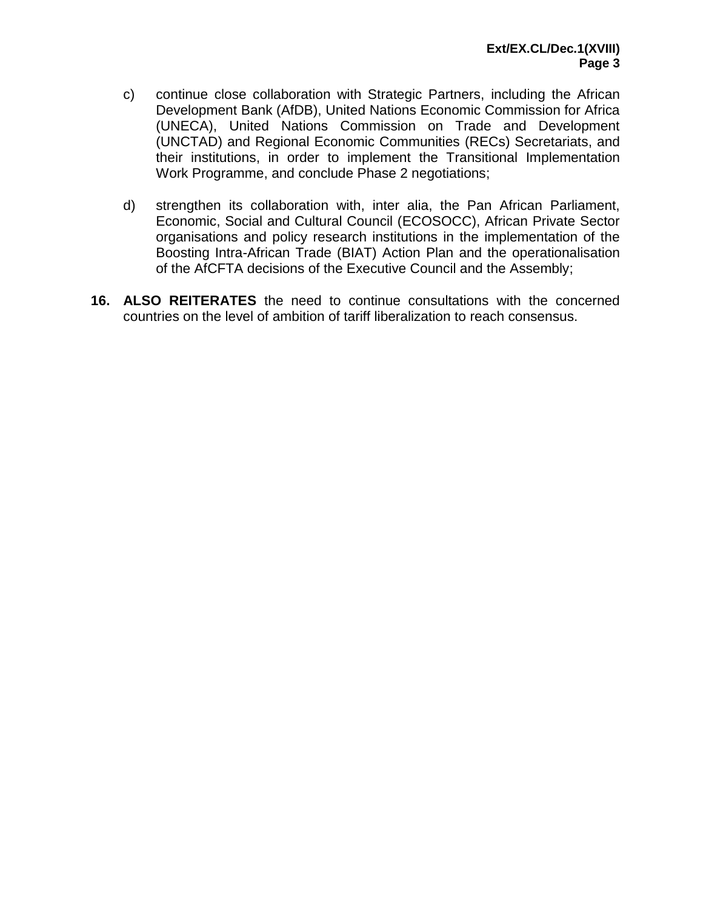- c) continue close collaboration with Strategic Partners, including the African Development Bank (AfDB), United Nations Economic Commission for Africa (UNECA), United Nations Commission on Trade and Development (UNCTAD) and Regional Economic Communities (RECs) Secretariats, and their institutions, in order to implement the Transitional Implementation Work Programme, and conclude Phase 2 negotiations;
- d) strengthen its collaboration with, inter alia, the Pan African Parliament, Economic, Social and Cultural Council (ECOSOCC), African Private Sector organisations and policy research institutions in the implementation of the Boosting Intra-African Trade (BIAT) Action Plan and the operationalisation of the AfCFTA decisions of the Executive Council and the Assembly;
- **16. ALSO REITERATES** the need to continue consultations with the concerned countries on the level of ambition of tariff liberalization to reach consensus.